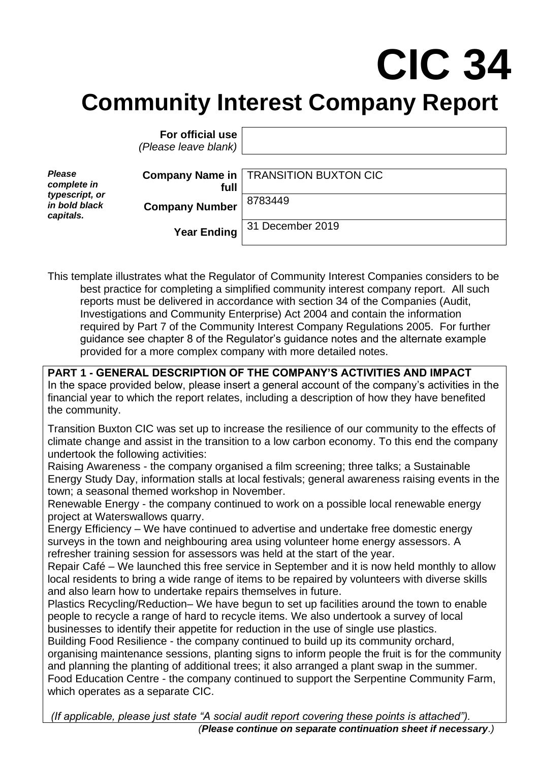## **CIC 34 Community Interest Company Report**

|                                                                              | For official use<br>(Please leave blank) |                                                |
|------------------------------------------------------------------------------|------------------------------------------|------------------------------------------------|
| <b>Please</b><br>complete in<br>typescript, or<br>in bold black<br>capitals. | full                                     | <b>Company Name in   TRANSITION BUXTON CIC</b> |
|                                                                              | <b>Company Number</b>                    | 8783449                                        |
|                                                                              | <b>Year Ending</b>                       | 31 December 2019                               |

This template illustrates what the Regulator of Community Interest Companies considers to be best practice for completing a simplified community interest company report. All such reports must be delivered in accordance with section 34 of the Companies (Audit, Investigations and Community Enterprise) Act 2004 and contain the information required by Part 7 of the Community Interest Company Regulations 2005. For further guidance see chapter 8 of the Regulator's guidance notes and the alternate example provided for a more complex company with more detailed notes.

**PART 1 - GENERAL DESCRIPTION OF THE COMPANY'S ACTIVITIES AND IMPACT** In the space provided below, please insert a general account of the company's activities in the financial year to which the report relates, including a description of how they have benefited the community.

Transition Buxton CIC was set up to increase the resilience of our community to the effects of climate change and assist in the transition to a low carbon economy. To this end the company undertook the following activities:

Raising Awareness - the company organised a film screening; three talks; a Sustainable Energy Study Day, information stalls at local festivals; general awareness raising events in the town; a seasonal themed workshop in November.

Renewable Energy - the company continued to work on a possible local renewable energy project at Waterswallows quarry.

Energy Efficiency – We have continued to advertise and undertake free domestic energy surveys in the town and neighbouring area using volunteer home energy assessors. A refresher training session for assessors was held at the start of the year.

Repair Café – We launched this free service in September and it is now held monthly to allow local residents to bring a wide range of items to be repaired by volunteers with diverse skills and also learn how to undertake repairs themselves in future.

Plastics Recycling/Reduction– We have begun to set up facilities around the town to enable people to recycle a range of hard to recycle items. We also undertook a survey of local businesses to identify their appetite for reduction in the use of single use plastics.

Building Food Resilience - the company continued to build up its community orchard, organising maintenance sessions, planting signs to inform people the fruit is for the community and planning the planting of additional trees; it also arranged a plant swap in the summer. Food Education Centre - the company continued to support the Serpentine Community Farm, which operates as a separate CIC.

*(If applicable, please just state "A social audit report covering these points is attached"). (Please continue on separate continuation sheet if necessary.)*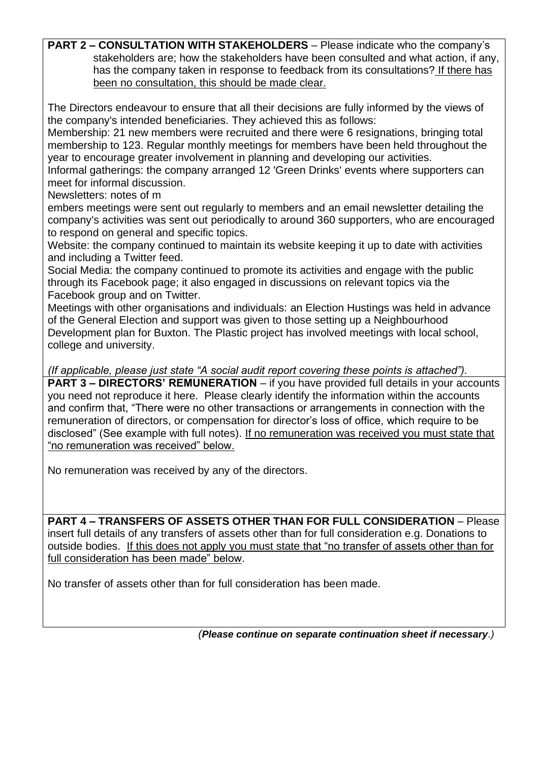**PART 2 – CONSULTATION WITH STAKEHOLDERS** – Please indicate who the company's stakeholders are; how the stakeholders have been consulted and what action, if any, has the company taken in response to feedback from its consultations? If there has been no consultation, this should be made clear.

The Directors endeavour to ensure that all their decisions are fully informed by the views of the company's intended beneficiaries. They achieved this as follows:

Membership: 21 new members were recruited and there were 6 resignations, bringing total membership to 123. Regular monthly meetings for members have been held throughout the year to encourage greater involvement in planning and developing our activities.

Informal gatherings: the company arranged 12 'Green Drinks' events where supporters can meet for informal discussion.

Newsletters: notes of m

embers meetings were sent out regularly to members and an email newsletter detailing the company's activities was sent out periodically to around 360 supporters, who are encouraged to respond on general and specific topics.

Website: the company continued to maintain its website keeping it up to date with activities and including a Twitter feed.

Social Media: the company continued to promote its activities and engage with the public through its Facebook page; it also engaged in discussions on relevant topics via the Facebook group and on Twitter.

Meetings with other organisations and individuals: an Election Hustings was held in advance of the General Election and support was given to those setting up a Neighbourhood Development plan for Buxton. The Plastic project has involved meetings with local school, college and university.

*(If applicable, please just state "A social audit report covering these points is attached").*

**PART 3 – DIRECTORS' REMUNERATION** – if you have provided full details in your accounts you need not reproduce it here. Please clearly identify the information within the accounts and confirm that, "There were no other transactions or arrangements in connection with the remuneration of directors, or compensation for director's loss of office, which require to be disclosed" (See example with full notes). If no remuneration was received you must state that "no remuneration was received" below.

No remuneration was received by any of the directors.

**PART 4 – TRANSFERS OF ASSETS OTHER THAN FOR FULL CONSIDERATION** – Please insert full details of any transfers of assets other than for full consideration e.g. Donations to outside bodies.If this does not apply you must state that "no transfer of assets other than for full consideration has been made" below.

No transfer of assets other than for full consideration has been made.

*(Please continue on separate continuation sheet if necessary.)*